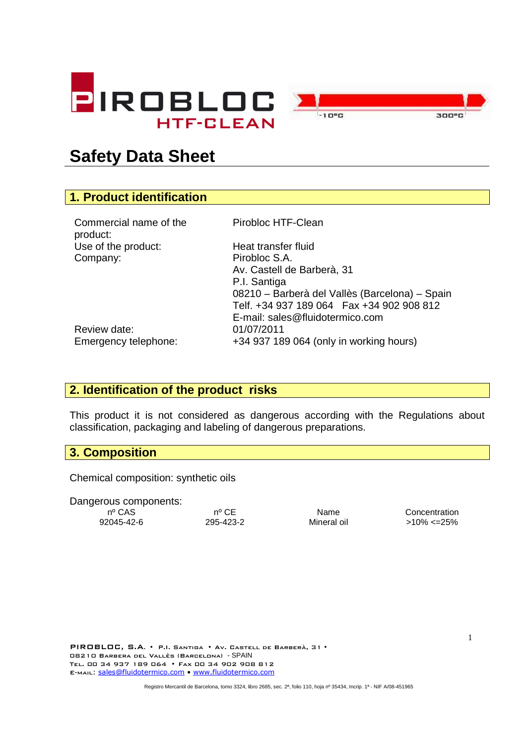



# **Safety Data Sheet**

# **1. Product identification**

Commercial name of the product: Use of the product: Heat transfer fluid Company: Pirobloc S.A.

Pirobloc HTF-Clean

Av. Castell de Barberà, 31 P.I. Santiga 08210 – Barberà del Vallès (Barcelona) – Spain Telf. +34 937 189 064 Fax +34 902 908 812 E-mail: sales@fluidotermico.com Emergency telephone: +34 937 189 064 (only in working hours)

Review date: 01/07/2011

## **2. Identification of the product risks**

This product it is not considered as dangerous according with the Regulations about classification, packaging and labeling of dangerous preparations.

#### **3. Composition**

Chemical composition: synthetic oils

Dangerous components:

92045-42-6 295-423-2 Mineral oil >10% <=25%

nº CAS nº CE Name Concentration

PIROBLOC, S.A. • P.I. Santiga • Av. Castell de Barberà, 31 • 08210 Barbera del Vallès (Barcelona) - SPAIN Tel. 00 34 937 189 064 • Fax 00 34 902 908 812 E-MAIL: sales@fluidotermico.com • www.fluidotermico.com

Registro Mercantil de Barcelona, tomo 3324, libro 2685, sec. 2ª, folio 110, hoja nº 35434, Incrip. 1ª - NIF A/08-451965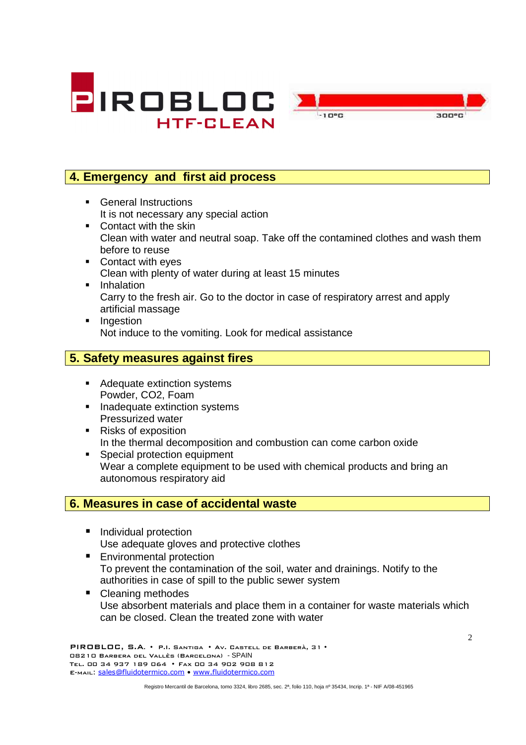



## **4. Emergency and first aid process**

- **General Instructions** It is not necessary any special action
- Contact with the skin Clean with water and neutral soap. Take off the contamined clothes and wash them before to reuse
- Contact with eyes Clean with plenty of water during at least 15 minutes
- **Inhalation** Carry to the fresh air. Go to the doctor in case of respiratory arrest and apply artificial massage
- **Ingestion** Not induce to the vomiting. Look for medical assistance

### **5. Safety measures against fires**

- Adequate extinction systems Powder, CO2, Foam
- Inadequate extinction systems Pressurized water
- Risks of exposition In the thermal decomposition and combustion can come carbon oxide
- **Special protection equipment** Wear a complete equipment to be used with chemical products and bring an autonomous respiratory aid

#### **6. Measures in case of accidental waste**

- **Individual protection** Use adequate gloves and protective clothes
- **Environmental protection** To prevent the contamination of the soil, water and drainings. Notify to the authorities in case of spill to the public sewer system
- Cleaning methodes Use absorbent materials and place them in a container for waste materials which can be closed. Clean the treated zone with water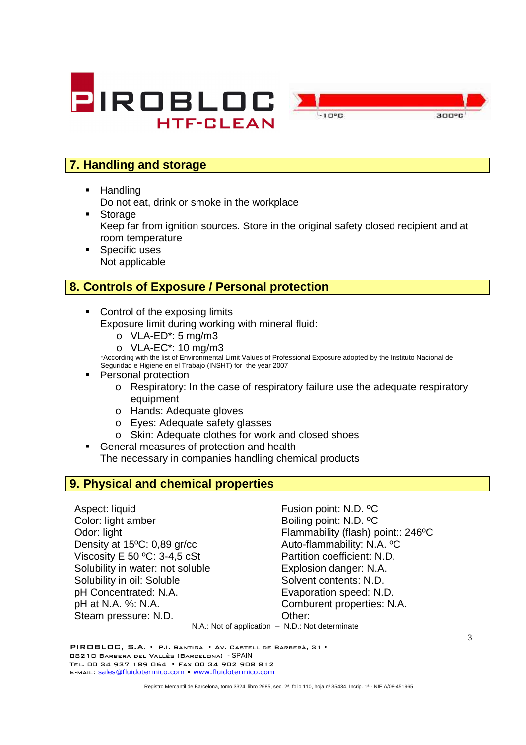



# **7. Handling and storage**

**-** Handling

Do not eat, drink or smoke in the workplace

- **Storage** Keep far from ignition sources. Store in the original safety closed recipient and at room temperature
- **Specific uses** Not applicable

### **8. Controls of Exposure / Personal protection**

- Control of the exposing limits Exposure limit during working with mineral fluid:
	- $O$  VLA-ED<sup>\*</sup>: 5 mg/m3
	- o VLA-EC\*: 10 mg/m3

\*According with the list of Environmental Limit Values of Professional Exposure adopted by the Instituto Nacional de Seguridad e Higiene en el Trabajo (INSHT) for the year 2007

- Personal protection
	- $\circ$  Respiratory: In the case of respiratory failure use the adequate respiratory equipment
	- o Hands: Adequate gloves
	- o Eyes: Adequate safety glasses
	- o Skin: Adequate clothes for work and closed shoes
- General measures of protection and health The necessary in companies handling chemical products

## **9. Physical and chemical properties**

Aspect: liquid Fusion point: N.D. <sup>o</sup>C Color: light amber Boiling point: N.D. °C Odor: light Flammability (flash) point:: 246°C Density at 15<sup>o</sup>C: 0,89 gr/cc Auto-flammability: N.A. <sup>o</sup>C Viscosity E 50 °C: 3-4.5 cSt Partition coefficient: N.D. Solubility in water: not soluble Explosion danger: N.A. Solubility in oil: Soluble Solvent contents: N.D. pH Concentrated: N.A. Evaporation speed: N.D. pH at N.A. %: N.A. Comburent properties: N.A. Steam pressure: N.D. Cher:

N.A.: Not of application – N.D.: Not determinate

PIROBLOC, S.A. • P.I. Santiga • Av. Castell de Barberà, 31 • 08210 Barbera del Vallès (Barcelona) - SPAIN Tel. 00 34 937 189 064 • Fax 00 34 902 908 812 E-MAIL: sales@fluidotermico.com · www.fluidotermico.com

Registro Mercantil de Barcelona, tomo 3324, libro 2685, sec. 2ª, folio 110, hoja nº 35434, Incrip. 1ª - NIF A/08-451965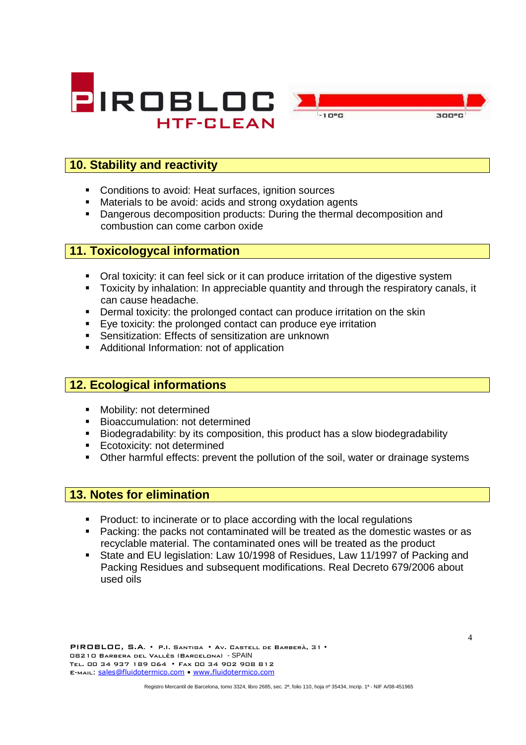



## **10. Stability and reactivity**

- Conditions to avoid: Heat surfaces, ignition sources
- Materials to be avoid: acids and strong oxydation agents
- **Dangerous decomposition products: During the thermal decomposition and** combustion can come carbon oxide

#### **11. Toxicologycal information**

- Oral toxicity: it can feel sick or it can produce irritation of the digestive system
- Toxicity by inhalation: In appreciable quantity and through the respiratory canals, it can cause headache.
- **•** Dermal toxicity: the prolonged contact can produce irritation on the skin
- Eye toxicity: the prolonged contact can produce eye irritation
- Sensitization: Effects of sensitization are unknown
- Additional Information: not of application

### **12. Ecological informations**

- **Mobility: not determined**
- **Bioaccumulation: not determined**
- Biodegradability: by its composition, this product has a slow biodegradability
- **Ecotoxicity: not determined**
- Other harmful effects: prevent the pollution of the soil, water or drainage systems

#### **13. Notes for elimination**

- Product: to incinerate or to place according with the local regulations
- **Packing: the packs not contaminated will be treated as the domestic wastes or as** recyclable material. The contaminated ones will be treated as the product
- State and EU legislation: Law 10/1998 of Residues, Law 11/1997 of Packing and Packing Residues and subsequent modifications. Real Decreto 679/2006 about used oils

Registro Mercantil de Barcelona, tomo 3324, libro 2685, sec. 2ª, folio 110, hoja nº 35434, Incrip. 1ª - NIF A/08-451965